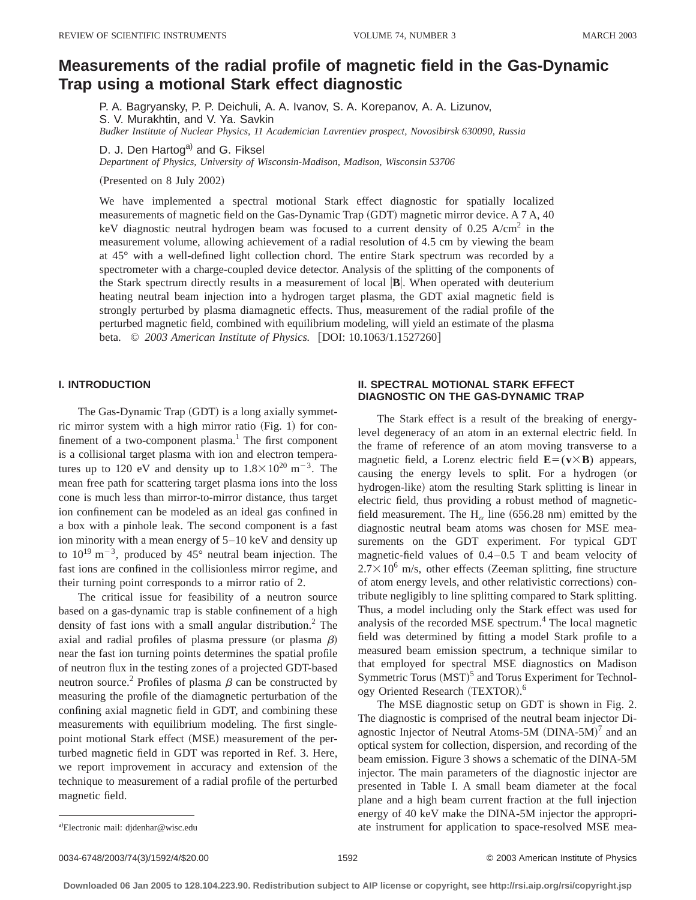# **Measurements of the radial profile of magnetic field in the Gas-Dynamic Trap using a motional Stark effect diagnostic**

P. A. Bagryansky, P. P. Deichuli, A. A. Ivanov, S. A. Korepanov, A. A. Lizunov, S. V. Murakhtin, and V. Ya. Savkin *Budker Institute of Nuclear Physics, 11 Academician Lavrentiev prospect, Novosibirsk 630090, Russia*

D. J. Den Hartog<sup>a)</sup> and G. Fiksel

*Department of Physics, University of Wisconsin-Madison, Madison, Wisconsin 53706*

(Presented on 8 July 2002)

We have implemented a spectral motional Stark effect diagnostic for spatially localized measurements of magnetic field on the Gas-Dynamic Trap (GDT) magnetic mirror device. A 7 A, 40 keV diagnostic neutral hydrogen beam was focused to a current density of  $0.25$  A/cm<sup>2</sup> in the measurement volume, allowing achievement of a radial resolution of 4.5 cm by viewing the beam at 45° with a well-defined light collection chord. The entire Stark spectrum was recorded by a spectrometer with a charge-coupled device detector. Analysis of the splitting of the components of the Stark spectrum directly results in a measurement of local  $\mathbf{B}$ . When operated with deuterium heating neutral beam injection into a hydrogen target plasma, the GDT axial magnetic field is strongly perturbed by plasma diamagnetic effects. Thus, measurement of the radial profile of the perturbed magnetic field, combined with equilibrium modeling, will yield an estimate of the plasma beta. © 2003 American Institute of Physics. [DOI: 10.1063/1.1527260]

### **I. INTRODUCTION**

The Gas-Dynamic Trap (GDT) is a long axially symmetric mirror system with a high mirror ratio  $(Fig. 1)$  for confinement of a two-component plasma.<sup>1</sup> The first component is a collisional target plasma with ion and electron temperatures up to 120 eV and density up to  $1.8 \times 10^{20}$  m<sup>-3</sup>. The mean free path for scattering target plasma ions into the loss cone is much less than mirror-to-mirror distance, thus target ion confinement can be modeled as an ideal gas confined in a box with a pinhole leak. The second component is a fast ion minority with a mean energy of 5–10 keV and density up to  $10^{19}$  m<sup>-3</sup>, produced by 45° neutral beam injection. The fast ions are confined in the collisionless mirror regime, and their turning point corresponds to a mirror ratio of 2.

The critical issue for feasibility of a neutron source based on a gas-dynamic trap is stable confinement of a high density of fast ions with a small angular distribution. $2$  The axial and radial profiles of plasma pressure (or plasma  $\beta$ ) near the fast ion turning points determines the spatial profile of neutron flux in the testing zones of a projected GDT-based neutron source.<sup>2</sup> Profiles of plasma  $\beta$  can be constructed by measuring the profile of the diamagnetic perturbation of the confining axial magnetic field in GDT, and combining these measurements with equilibrium modeling. The first singlepoint motional Stark effect (MSE) measurement of the perturbed magnetic field in GDT was reported in Ref. 3. Here, we report improvement in accuracy and extension of the technique to measurement of a radial profile of the perturbed magnetic field.

## **II. SPECTRAL MOTIONAL STARK EFFECT DIAGNOSTIC ON THE GAS-DYNAMIC TRAP**

The Stark effect is a result of the breaking of energylevel degeneracy of an atom in an external electric field. In the frame of reference of an atom moving transverse to a magnetic field, a Lorenz electric field  $\mathbf{E} = (\mathbf{v} \times \mathbf{B})$  appears, causing the energy levels to split. For a hydrogen (or hydrogen-like) atom the resulting Stark splitting is linear in electric field, thus providing a robust method of magneticfield measurement. The H<sub> $\alpha$ </sub> line (656.28 nm) emitted by the diagnostic neutral beam atoms was chosen for MSE measurements on the GDT experiment. For typical GDT magnetic-field values of 0.4–0.5 T and beam velocity of  $2.7\times10^6$  m/s, other effects (Zeeman splitting, fine structure of atom energy levels, and other relativistic corrections) contribute negligibly to line splitting compared to Stark splitting. Thus, a model including only the Stark effect was used for analysis of the recorded MSE spectrum.<sup>4</sup> The local magnetic field was determined by fitting a model Stark profile to a measured beam emission spectrum, a technique similar to that employed for spectral MSE diagnostics on Madison Symmetric Torus  $(MST)^5$  and Torus Experiment for Technology Oriented Research (TEXTOR).<sup>6</sup>

The MSE diagnostic setup on GDT is shown in Fig. 2. The diagnostic is comprised of the neutral beam injector Diagnostic Injector of Neutral Atoms-5M  $(DINA-5M)^7$  and an optical system for collection, dispersion, and recording of the beam emission. Figure 3 shows a schematic of the DINA-5M injector. The main parameters of the diagnostic injector are presented in Table I. A small beam diameter at the focal plane and a high beam current fraction at the full injection energy of 40 keV make the DINA-5M injector the appropriate instrument for application to space-resolved MSE mea-

0034-6748/2003/74(3)/1592/4/\$20.00 1592 1592 1592 6 2003 American Institute of Physics

Electronic mail: djdenhar@wisc.edu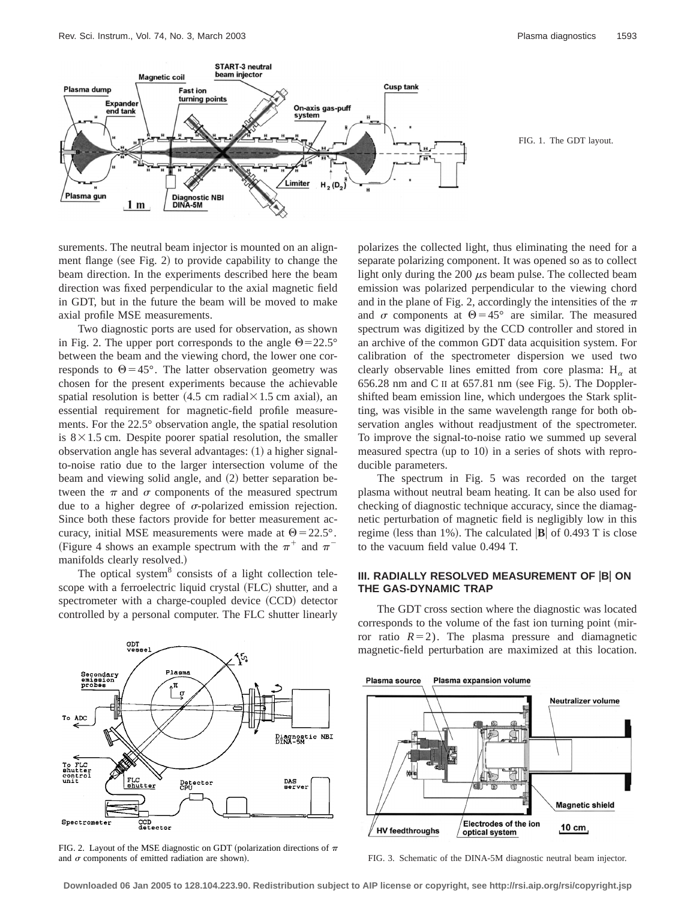

surements. The neutral beam injector is mounted on an alignment flange (see Fig. 2) to provide capability to change the beam direction. In the experiments described here the beam direction was fixed perpendicular to the axial magnetic field in GDT, but in the future the beam will be moved to make axial profile MSE measurements.

Two diagnostic ports are used for observation, as shown in Fig. 2. The upper port corresponds to the angle  $\Theta$ =22.5° between the beam and the viewing chord, the lower one corresponds to  $\Theta$  = 45°. The latter observation geometry was chosen for the present experiments because the achievable spatial resolution is better  $(4.5 \text{ cm} \text{ radial} \times 1.5 \text{ cm} \text{ axial})$ , an essential requirement for magnetic-field profile measurements. For the 22.5° observation angle, the spatial resolution is  $8 \times 1.5$  cm. Despite poorer spatial resolution, the smaller observation angle has several advantages:  $(1)$  a higher signalto-noise ratio due to the larger intersection volume of the beam and viewing solid angle, and (2) better separation between the  $\pi$  and  $\sigma$  components of the measured spectrum due to a higher degree of  $\sigma$ -polarized emission rejection. Since both these factors provide for better measurement accuracy, initial MSE measurements were made at  $\Theta$  = 22.5°. (Figure 4 shows an example spectrum with the  $\pi^+$  and  $\pi^$ manifolds clearly resolved.)

The optical system<sup>8</sup> consists of a light collection telescope with a ferroelectric liquid crystal (FLC) shutter, and a spectrometer with a charge-coupled device (CCD) detector controlled by a personal computer. The FLC shutter linearly polarizes the collected light, thus eliminating the need for a separate polarizing component. It was opened so as to collect light only during the 200  $\mu$ s beam pulse. The collected beam emission was polarized perpendicular to the viewing chord and in the plane of Fig. 2, accordingly the intensities of the  $\pi$ and  $\sigma$  components at  $\Theta$  = 45° are similar. The measured spectrum was digitized by the CCD controller and stored in an archive of the common GDT data acquisition system. For calibration of the spectrometer dispersion we used two clearly observable lines emitted from core plasma:  $H_{\alpha}$  at  $656.28$  nm and C II at  $657.81$  nm (see Fig. 5). The Dopplershifted beam emission line, which undergoes the Stark splitting, was visible in the same wavelength range for both observation angles without readjustment of the spectrometer. To improve the signal-to-noise ratio we summed up several measured spectra (up to  $10$ ) in a series of shots with reproducible parameters.

The spectrum in Fig. 5 was recorded on the target plasma without neutral beam heating. It can be also used for checking of diagnostic technique accuracy, since the diamagnetic perturbation of magnetic field is negligibly low in this regime (less than 1%). The calculated  $|\mathbf{B}|$  of 0.493 T is close to the vacuum field value 0.494 T.

## **III. RADIALLY RESOLVED MEASUREMENT OF B ON THE GAS-DYNAMIC TRAP**



FIG. 2. Layout of the MSE diagnostic on GDT (polarization directions of  $\pi$ and  $\sigma$  components of emitted radiation are shown). FIG. 3. Schematic of the DINA-5M diagnostic neutral beam injector.

The GDT cross section where the diagnostic was located corresponds to the volume of the fast ion turning point (mirror ratio  $R=2$ ). The plasma pressure and diamagnetic magnetic-field perturbation are maximized at this location.



**Downloaded 06 Jan 2005 to 128.104.223.90. Redistribution subject to AIP license or copyright, see http://rsi.aip.org/rsi/copyright.jsp**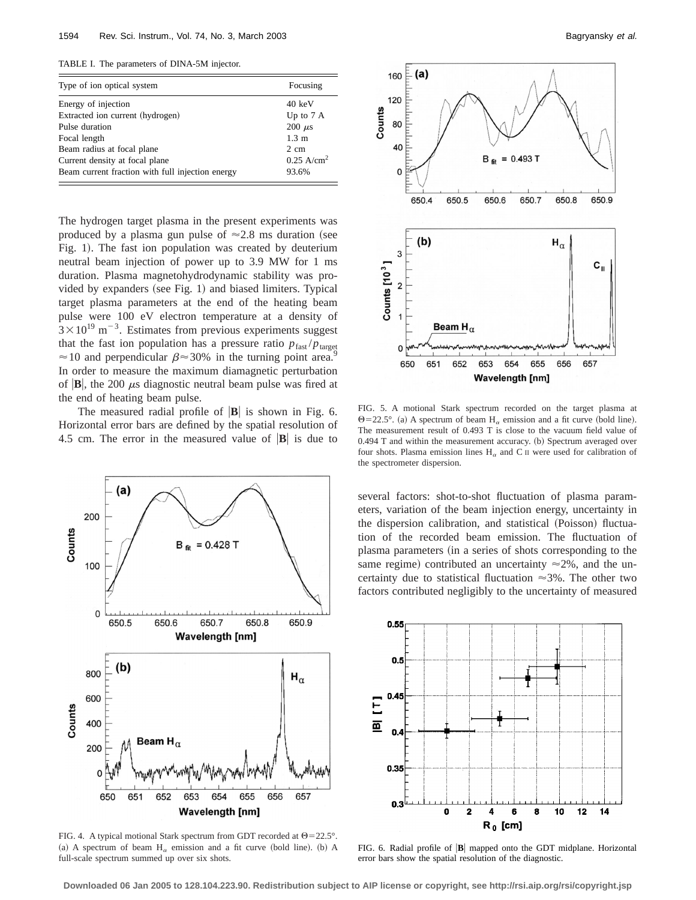TABLE I. The parameters of DINA-5M injector.

| Type of ion optical system                       | Focusing              |
|--------------------------------------------------|-----------------------|
| Energy of injection                              | $40 \text{ keV}$      |
| Extracted ion current (hydrogen)                 | Up to $7A$            |
| Pulse duration                                   | $200 \mu s$           |
| Focal length                                     | $1.3 \; \mathrm{m}$   |
| Beam radius at focal plane                       | 2 cm                  |
| Current density at focal plane                   | $0.25 \text{ A/cm}^2$ |
| Beam current fraction with full injection energy | 93.6%                 |

The hydrogen target plasma in the present experiments was produced by a plasma gun pulse of  $\approx$  2.8 ms duration (see Fig. 1). The fast ion population was created by deuterium neutral beam injection of power up to 3.9 MW for 1 ms duration. Plasma magnetohydrodynamic stability was provided by expanders (see Fig. 1) and biased limiters. Typical target plasma parameters at the end of the heating beam pulse were 100 eV electron temperature at a density of  $3 \times 10^{19}$  m<sup>-3</sup>. Estimates from previous experiments suggest that the fast ion population has a pressure ratio  $p_{\text{fast}}/p_{\text{target}}$  $\approx$  10 and perpendicular  $\beta \approx$  30% in the turning point area.<sup>9</sup> In order to measure the maximum diamagnetic perturbation of  $|\mathbf{B}|$ , the 200  $\mu$ s diagnostic neutral beam pulse was fired at the end of heating beam pulse.

The measured radial profile of  $|\mathbf{B}|$  is shown in Fig. 6. Horizontal error bars are defined by the spatial resolution of 4.5 cm. The error in the measured value of  $|\mathbf{B}|$  is due to



FIG. 4. A typical motional Stark spectrum from GDT recorded at  $\Theta$ =22.5°. (a) A spectrum of beam  $H_\alpha$  emission and a fit curve (bold line). (b) A full-scale spectrum summed up over six shots.



FIG. 5. A motional Stark spectrum recorded on the target plasma at  $\Theta$ =22.5°. (a) A spectrum of beam H<sub> $\alpha$ </sub> emission and a fit curve (bold line). The measurement result of 0.493 T is close to the vacuum field value of  $0.494$  T and within the measurement accuracy.  $(b)$  Spectrum averaged over four shots. Plasma emission lines  $H_{\alpha}$  and C II were used for calibration of the spectrometer dispersion.

several factors: shot-to-shot fluctuation of plasma parameters, variation of the beam injection energy, uncertainty in the dispersion calibration, and statistical (Poisson) fluctuation of the recorded beam emission. The fluctuation of plasma parameters (in a series of shots corresponding to the same regime) contributed an uncertainty  $\approx$ 2%, and the uncertainty due to statistical fluctuation  $\approx 3\%$ . The other two factors contributed negligibly to the uncertainty of measured



FIG. 6. Radial profile of  $|\mathbf{B}|$  mapped onto the GDT midplane. Horizontal error bars show the spatial resolution of the diagnostic.

**Downloaded 06 Jan 2005 to 128.104.223.90. Redistribution subject to AIP license or copyright, see http://rsi.aip.org/rsi/copyright.jsp**